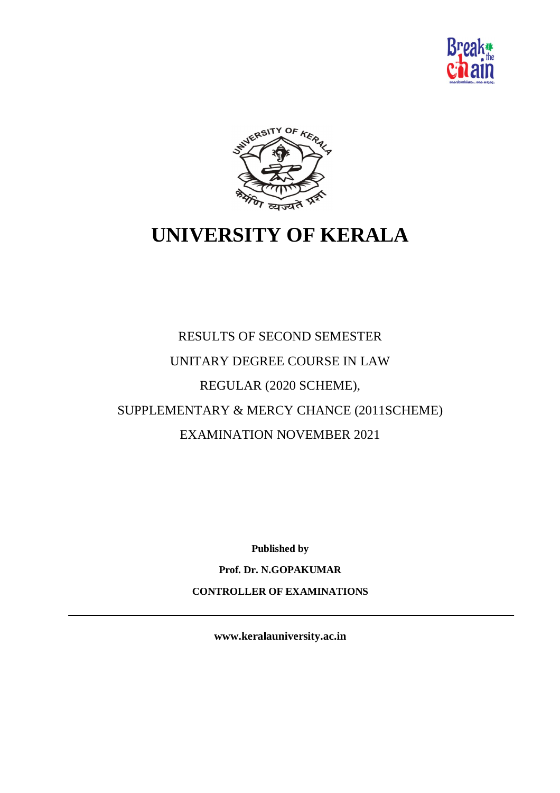



# **UNIVERSITY OF KERALA**

# RESULTS OF SECOND SEMESTER UNITARY DEGREE COURSE IN LAW REGULAR (2020 SCHEME), SUPPLEMENTARY & MERCY CHANCE (2011SCHEME) EXAMINATION NOVEMBER 2021

**Published by**

**Prof. Dr. N.GOPAKUMAR**

**CONTROLLER OF EXAMINATIONS**

**www.keralauniversity.ac.in**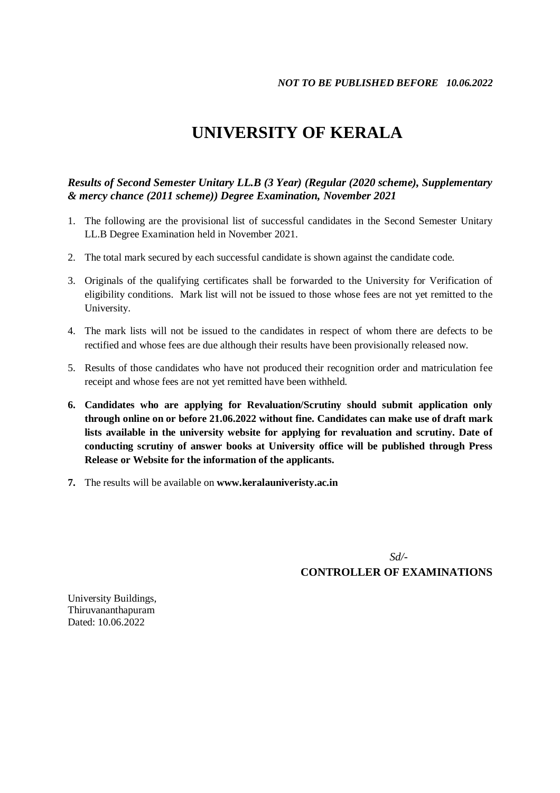## **UNIVERSITY OF KERALA**

#### *Results of Second Semester Unitary LL.B (3 Year) (Regular (2020 scheme), Supplementary & mercy chance (2011 scheme)) Degree Examination, November 2021*

- 1. The following are the provisional list of successful candidates in the Second Semester Unitary LL.B Degree Examination held in November 2021.
- 2. The total mark secured by each successful candidate is shown against the candidate code.
- 3. Originals of the qualifying certificates shall be forwarded to the University for Verification of eligibility conditions. Mark list will not be issued to those whose fees are not yet remitted to the University.
- 4. The mark lists will not be issued to the candidates in respect of whom there are defects to be rectified and whose fees are due although their results have been provisionally released now.
- 5. Results of those candidates who have not produced their recognition order and matriculation fee receipt and whose fees are not yet remitted have been withheld.
- **6. Candidates who are applying for Revaluation/Scrutiny should submit application only through online on or before 21.06.2022 without fine. Candidates can make use of draft mark lists available in the university website for applying for revaluation and scrutiny. Date of conducting scrutiny of answer books at University office will be published through Press Release or Website for the information of the applicants.**
- **7.** The results will be available on **www.keralauniveristy.ac.in**

*Sd/-*

**CONTROLLER OF EXAMINATIONS**

University Buildings, Thiruvananthapuram Dated: 10.06.2022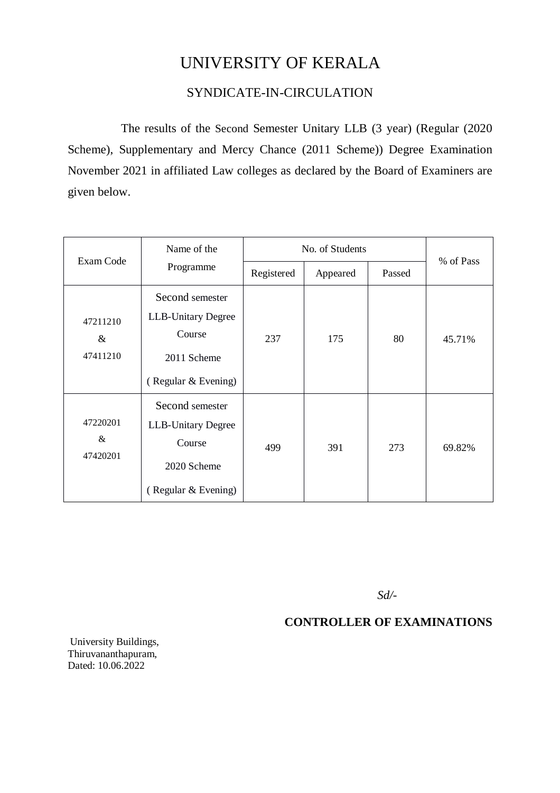## UNIVERSITY OF KERALA

### SYNDICATE-IN-CIRCULATION

The results of the Second Semester Unitary LLB (3 year) (Regular (2020 Scheme), Supplementary and Mercy Chance (2011 Scheme)) Degree Examination November 2021 in affiliated Law colleges as declared by the Board of Examiners are given below.

| Exam Code                    | Name of the                                                                                  | No. of Students |          |        |           |
|------------------------------|----------------------------------------------------------------------------------------------|-----------------|----------|--------|-----------|
|                              | Programme                                                                                    | Registered      | Appeared | Passed | % of Pass |
| 47211210<br>$\&$<br>47411210 | Second semester<br><b>LLB-Unitary Degree</b><br>Course<br>2011 Scheme<br>(Regular & Evening) | 237             | 175      | 80     | 45.71%    |
| 47220201<br>&<br>47420201    | Second semester<br><b>LLB-Unitary Degree</b><br>Course<br>2020 Scheme<br>(Regular & Evening) | 499             | 391      | 273    | 69.82%    |

 *Sd/-*

#### **CONTROLLER OF EXAMINATIONS**

University Buildings, Thiruvananthapuram, Dated: 10.06.2022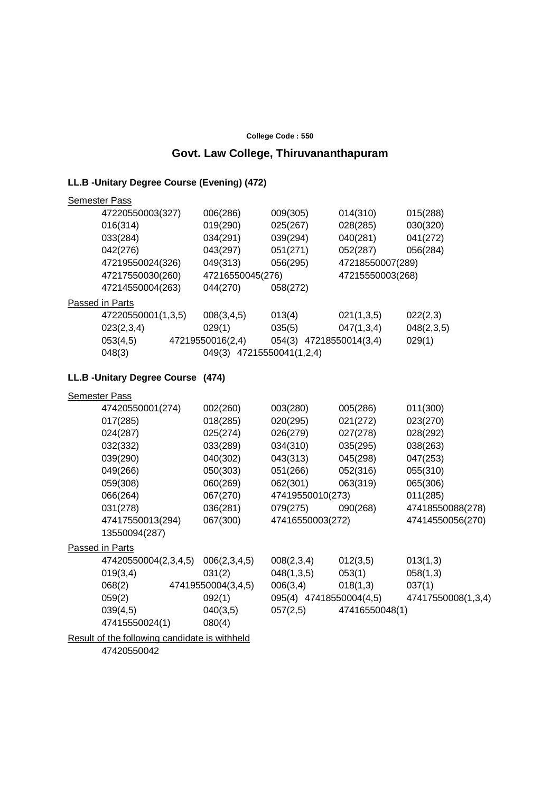#### **College Code : 550**

## **Govt. Law College, Thiruvananthapuram**

## **LL.B -Unitary Degree Course (Evening) (472)**

|                                    | <b>Semester Pass</b> |                           |                         |                  |                  |  |
|------------------------------------|----------------------|---------------------------|-------------------------|------------------|------------------|--|
|                                    | 47220550003(327)     | 006(286)                  | 009(305)                | 014(310)         | 015(288)         |  |
|                                    | 016(314)             | 019(290)                  | 025(267)                | 028(285)         | 030(320)         |  |
|                                    | 033(284)             | 034(291)                  | 039(294)                | 040(281)         | 041(272)         |  |
|                                    | 042(276)             | 043(297)                  | 051(271)                | 052(287)         | 056(284)         |  |
|                                    | 47219550024(326)     | 049(313)                  | 056(295)                | 47218550007(289) |                  |  |
|                                    | 47217550030(260)     |                           | 47216550045(276)        |                  | 47215550003(268) |  |
|                                    | 47214550004(263)     | 044(270)                  | 058(272)                |                  |                  |  |
|                                    | Passed in Parts      |                           |                         |                  |                  |  |
|                                    | 47220550001(1,3,5)   | 008(3,4,5)                | 013(4)                  | 021(1,3,5)       | 022(2,3)         |  |
|                                    | 023(2,3,4)           | 029(1)                    | 035(5)                  | 047(1,3,4)       | 048(2,3,5)       |  |
|                                    | 053(4,5)             | 47219550016(2,4)          | 054(3) 47218550014(3,4) |                  | 029(1)           |  |
|                                    | 048(3)               | 049(3) 47215550041(1,2,4) |                         |                  |                  |  |
| LL.B - Unitary Degree Course (474) |                      |                           |                         |                  |                  |  |
|                                    | <b>Semester Pass</b> |                           |                         |                  |                  |  |
|                                    | 47420550001(274)     | 002(260)                  | 003(280)                | 005(286)         | 011(300)         |  |
|                                    | 017(285)             | 018(285)                  | 020(295)                | 021(272)         | 023(270)         |  |
|                                    | 024(287)             | 025(274)                  | 026(279)                | 027(278)         | 028(292)         |  |
|                                    | 032(332)             | 033(289)                  | 034(310)                | 035(295)         | 038(263)         |  |
|                                    | 039(290)             | 040(302)                  | 043(313)                | 045(298)         | 047(253)         |  |
|                                    | 049(266)             | 050(303)                  | 051(266)                | 052(316)         | 055(310)         |  |
|                                    | 059(308)             | 060(269)                  | 062(301)                | 063(319)         | 065(306)         |  |
|                                    |                      |                           |                         |                  |                  |  |

| Semester Pass        |                    |                         |                |                    |
|----------------------|--------------------|-------------------------|----------------|--------------------|
| 47420550001(274)     | 002(260)           | 003(280)                | 005(286)       | 011(300)           |
| 017(285)             | 018(285)           | 020(295)                | 021(272)       | 023(270)           |
| 024(287)             | 025(274)           | 026(279)                | 027(278)       | 028(292)           |
| 032(332)             | 033(289)           | 034(310)                | 035(295)       | 038(263)           |
| 039(290)             | 040(302)           | 043(313)                | 045(298)       | 047(253)           |
| 049(266)             | 050(303)           | 051(266)                | 052(316)       | 055(310)           |
| 059(308)             | 060(269)           | 062(301)                | 063(319)       | 065(306)           |
| 066(264)             | 067(270)           | 47419550010(273)        |                | 011(285)           |
| 031(278)             | 036(281)           | 079(275)                | 090(268)       | 47418550088(278)   |
| 47417550013(294)     | 067(300)           | 47416550003(272)        |                | 47414550056(270)   |
| 13550094(287)        |                    |                         |                |                    |
| Passed in Parts      |                    |                         |                |                    |
| 47420550004(2,3,4,5) | 006(2,3,4,5)       | 008(2,3,4)              | 012(3,5)       | 013(1,3)           |
| 019(3,4)             | 031(2)             | 048(1,3,5)              | 053(1)         | 058(1,3)           |
| 068(2)               | 47419550004(3,4,5) | 006(3,4)                | 018(1,3)       | 037(1)             |
| 059(2)               | 092(1)             | 095(4) 47418550004(4,5) |                | 47417550008(1,3,4) |
| 039(4,5)             | 040(3,5)           | 057(2,5)                | 47416550048(1) |                    |
| 47415550024(1)       | 080(4)             |                         |                |                    |
|                      |                    |                         |                |                    |

Result of the following candidate is withheld 47420550042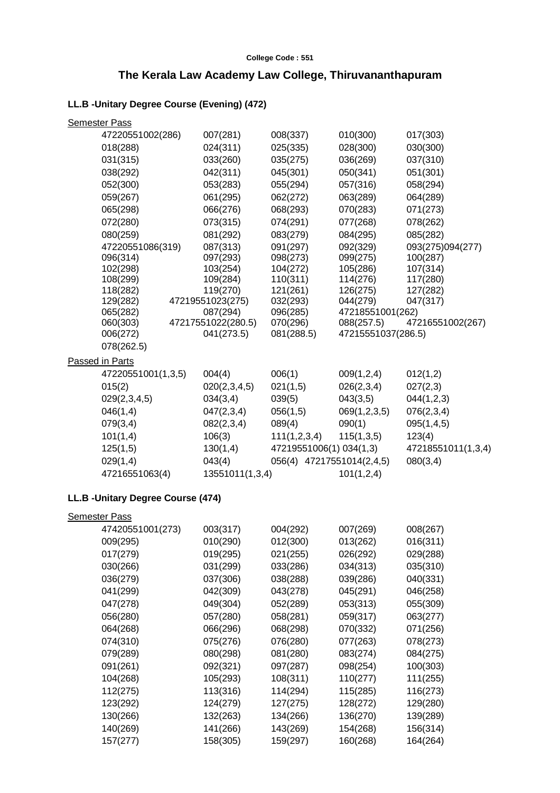#### **College Code : 551**

## **The Kerala Law Academy Law College, Thiruvananthapuram**

## **LL.B -Unitary Degree Course (Evening) (472)**

| <b>Semester Pass</b>               |                       |                             |                    |                      |
|------------------------------------|-----------------------|-----------------------------|--------------------|----------------------|
| 47220551002(286)                   | 007(281)              | 008(337)                    | 010(300)           | 017(303)             |
| 018(288)                           | 024(311)              | 025(335)                    | 028(300)           | 030(300)             |
| 031(315)                           | 033(260)              | 035(275)                    | 036(269)           | 037(310)             |
| 038(292)                           | 042(311)              | 045(301)                    | 050(341)           | 051(301)             |
| 052(300)                           | 053(283)              | 055(294)                    | 057(316)           | 058(294)             |
| 059(267)                           | 061(295)              | 062(272)                    | 063(289)           | 064(289)             |
| 065(298)                           | 066(276)              | 068(293)                    | 070(283)           | 071(273)             |
| 072(280)                           | 073(315)              | 074(291)                    | 077(268)           | 078(262)             |
| 080(259)                           | 081(292)              | 083(279)                    | 084(295)           | 085(282)             |
| 47220551086(319)                   | 087(313)              | 091(297)                    | 092(329)           | 093(275)094(277)     |
| 096(314)                           | 097(293)              | 098(273)                    | 099(275)           | 100(287)             |
| 102(298)                           | 103(254)              | 104(272)                    | 105(286)           | 107(314)             |
| 108(299)                           | 109(284)              | 110(311)                    | 114(276)           | 117(280)             |
| 118(282)                           | 119(270)              | 121(261)                    | 126(275)           | 127(282)             |
| 129(282)                           | 47219551023(275)      | 032(293)                    | 044(279)           | 047(317)             |
| 065(282)                           | 087(294)              | 096(285)                    | 47218551001(262)   |                      |
| 060(303)                           | 47217551022(280.5)    | 070(296)                    | 088(257.5)         | 47216551002(267)     |
| 006(272)                           | 041(273.5)            | 081(288.5)                  | 47215551037(286.5) |                      |
| 078(262.5)                         |                       |                             |                    |                      |
| Passed in Parts                    |                       |                             |                    |                      |
| 47220551001(1,3,5)                 | 004(4)                | 006(1)                      | 009(1,2,4)         | 012(1,2)             |
| 015(2)                             | 020(2,3,4,5)          | 021(1,5)                    | 026(2,3,4)         | 027(2,3)             |
| 029(2,3,4,5)                       | 034(3,4)              | 039(5)                      | 043(3,5)           | 044(1,2,3)           |
| 046(1,4)                           | 047(2,3,4)            | 056(1,5)                    | 069(1,2,3,5)       | 076(2,3,4)           |
| 079(3,4)                           | 082(2,3,4)            | 089(4)                      | 090(1)             | 095(1,4,5)           |
| 101(1,4)                           | 106(3)                | 111(1,2,3,4)                | 115(1,3,5)         | 123(4)               |
| 125(1,5)                           | 130(1,4)              | 47219551006(1) 034(1,3)     |                    | 47218551011(1,3,4)   |
| 029(1,4)                           | 043(4)                | 056(4) 47217551014(2,4,5)   |                    | 080(3,4)             |
| 47216551063(4)                     | 13551011(1,3,4)       |                             | 101(1,2,4)         |                      |
|                                    |                       |                             |                    |                      |
| LL.B - Unitary Degree Course (474) |                       |                             |                    |                      |
| <b>Semester Pass</b>               |                       |                             |                    |                      |
| 47420551001(273)                   | 003(317)              | 004(292)                    | 007(269)           | 008(267)             |
| 009(295)                           | 010(290)              | 012(300)                    | 013(262)           | 016(311)             |
| 017(279)                           | 019(295)              | 021(255)                    | 026(292)           | 029(288)             |
| 030(266)                           | 031(299)              | 033(286)                    | 034(313)           | 035(310)             |
| 036(279)                           | 037(306)              | 038(288)                    | 039(286)           | 040(331)             |
| 041(299)                           | 042(309)              | 043(278)                    | 045(291)           | 046(258)             |
| 047(278)                           | 049(304)              | 052(289)                    | 053(313)           | 055(309)             |
| 056(280)                           | 057(280)              | 058(281)                    | 059(317)           | 063(277)             |
|                                    |                       |                             |                    |                      |
| 064(268)                           | 066(296)              | 068(298)                    | 070(332)           | 071(256)             |
| 074(310)                           | 075(276)<br>1901/2091 | 076(280)<br><b>021/2201</b> | 077(263)           | 078(273)<br>09A(275) |
| 070/280)                           |                       |                             | <b>083/2741</b>    |                      |

| 041(299) | 042(309) | 043(278) | 045(291) | 046(258) |
|----------|----------|----------|----------|----------|
| 047(278) | 049(304) | 052(289) | 053(313) | 055(309) |
| 056(280) | 057(280) | 058(281) | 059(317) | 063(277) |
| 064(268) | 066(296) | 068(298) | 070(332) | 071(256) |
| 074(310) | 075(276) | 076(280) | 077(263) | 078(273) |
| 079(289) | 080(298) | 081(280) | 083(274) | 084(275) |
| 091(261) | 092(321) | 097(287) | 098(254) | 100(303) |
| 104(268) | 105(293) | 108(311) | 110(277) | 111(255) |
| 112(275) | 113(316) | 114(294) | 115(285) | 116(273) |
| 123(292) | 124(279) | 127(275) | 128(272) | 129(280) |
| 130(266) | 132(263) | 134(266) | 136(270) | 139(289) |
| 140(269) | 141(266) | 143(269) | 154(268) | 156(314) |
| 157(277) | 158(305) | 159(297) | 160(268) | 164(264) |
|          |          |          |          |          |